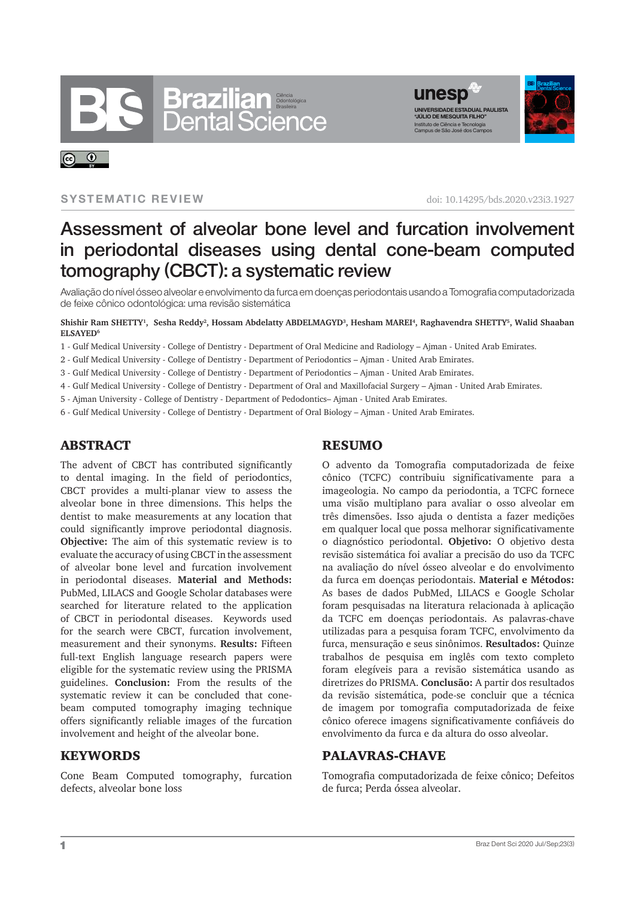



#### **SYSTEMATIC REVIEW**

 $\odot$ 

doi: 10.14295/bds.2020.v23i3.1927

# Assessment of alveolar bone level and furcation involvement in periodontal diseases using dental cone-beam computed tomography (CBCT): a systematic review

Avaliação do nível ósseo alveolar e envolvimento da furca em doenças periodontais usando a Tomografia computadorizada de feixe cônico odontológica: uma revisão sistemática

**Shishir Ram SHETTY<sup>1</sup> , Sesha Reddy<sup>2</sup> , Hossam Abdelatty ABDELMAGYD<sup>3</sup> , Hesham MAREI<sup>4</sup> , Raghavendra SHETTY<sup>5</sup> , Walid Shaaban ELSAYED<sup>6</sup>**

1 - Gulf Medical University - College of Dentistry - Department of Oral Medicine and Radiology – Ajman - United Arab Emirates.

2 - Gulf Medical University - College of Dentistry - Department of Periodontics – Ajman - United Arab Emirates.

- 3 Gulf Medical University College of Dentistry Department of Periodontics Ajman United Arab Emirates.
- 4 Gulf Medical University College of Dentistry Department of Oral and Maxillofacial Surgery Ajman United Arab Emirates.
- 5 Ajman University College of Dentistry Department of Pedodontics– Ajman United Arab Emirates.
- 6 Gulf Medical University College of Dentistry Department of Oral Biology Ajman United Arab Emirates.

### ABSTRACT

The advent of CBCT has contributed significantly to dental imaging. In the field of periodontics, CBCT provides a multi-planar view to assess the alveolar bone in three dimensions. This helps the dentist to make measurements at any location that could significantly improve periodontal diagnosis. **Objective:** The aim of this systematic review is to evaluate the accuracy of using CBCT in the assessment of alveolar bone level and furcation involvement in periodontal diseases. **Material and Methods:** PubMed, LILACS and Google Scholar databases were searched for literature related to the application of CBCT in periodontal diseases. Keywords used for the search were CBCT, furcation involvement, measurement and their synonyms. **Results:** Fifteen full-text English language research papers were eligible for the systematic review using the PRISMA guidelines. **Conclusion:** From the results of the systematic review it can be concluded that conebeam computed tomography imaging technique offers significantly reliable images of the furcation involvement and height of the alveolar bone.

#### KEYWORDS

Cone Beam Computed tomography, furcation defects, alveolar bone loss

### RESUMO

O advento da Tomografia computadorizada de feixe cônico (TCFC) contribuiu significativamente para a imageologia. No campo da periodontia, a TCFC fornece uma visão multiplano para avaliar o osso alveolar em três dimensões. Isso ajuda o dentista a fazer medições em qualquer local que possa melhorar significativamente o diagnóstico periodontal. **Objetivo:** O objetivo desta revisão sistemática foi avaliar a precisão do uso da TCFC na avaliação do nível ósseo alveolar e do envolvimento da furca em doenças periodontais. **Material e Métodos:**  As bases de dados PubMed, LILACS e Google Scholar foram pesquisadas na literatura relacionada à aplicação da TCFC em doenças periodontais. As palavras-chave utilizadas para a pesquisa foram TCFC, envolvimento da furca, mensuração e seus sinônimos. **Resultados:** Quinze trabalhos de pesquisa em inglês com texto completo foram elegíveis para a revisão sistemática usando as diretrizes do PRISMA. **Conclusão:** A partir dos resultados da revisão sistemática, pode-se concluir que a técnica de imagem por tomografia computadorizada de feixe cônico oferece imagens significativamente confiáveis do envolvimento da furca e da altura do osso alveolar.

#### PALAVRAS-CHAVE

Tomografia computadorizada de feixe cônico; Defeitos de furca; Perda óssea alveolar.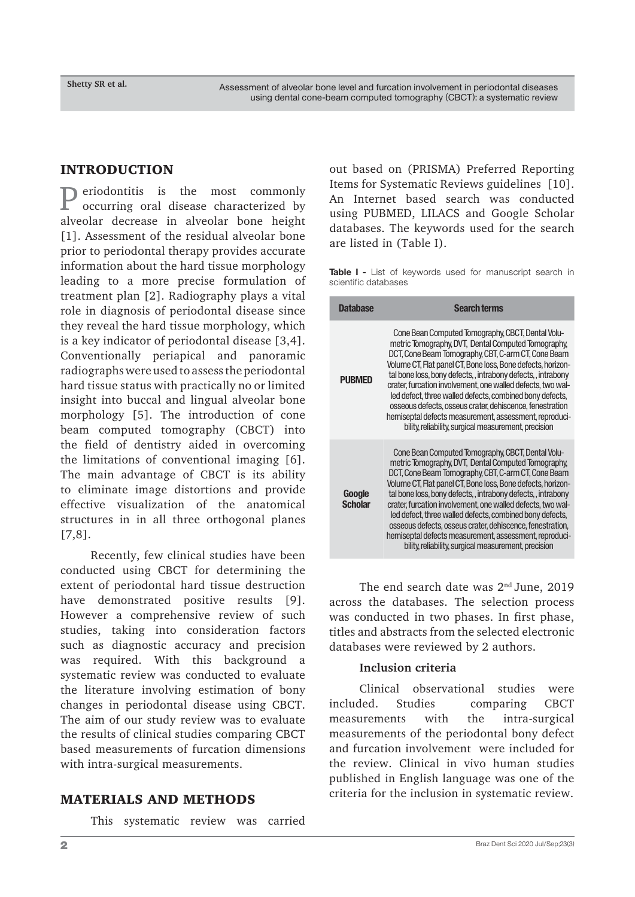### INTRODUCTION

P eriodontitis is the most commonly<br>occurring oral disease characterized by occurring oral disease characterized by alveolar decrease in alveolar bone height [1]. Assessment of the residual alveolar bone prior to periodontal therapy provides accurate information about the hard tissue morphology leading to a more precise formulation of treatment plan [2]. Radiography plays a vital role in diagnosis of periodontal disease since they reveal the hard tissue morphology, which is a key indicator of periodontal disease [3,4]. Conventionally periapical and panoramic radiographs were used to assess the periodontal hard tissue status with practically no or limited insight into buccal and lingual alveolar bone morphology [5]. The introduction of cone beam computed tomography (CBCT) into the field of dentistry aided in overcoming the limitations of conventional imaging [6]. The main advantage of CBCT is its ability to eliminate image distortions and provide effective visualization of the anatomical structures in in all three orthogonal planes [7,8].

Recently, few clinical studies have been conducted using CBCT for determining the extent of periodontal hard tissue destruction have demonstrated positive results [9]. However a comprehensive review of such studies, taking into consideration factors such as diagnostic accuracy and precision was required. With this background a systematic review was conducted to evaluate the literature involving estimation of bony changes in periodontal disease using CBCT. The aim of our study review was to evaluate the results of clinical studies comparing CBCT based measurements of furcation dimensions with intra-surgical measurements.

# MATERIALS AND METHODS

This systematic review was carried

out based on (PRISMA) Preferred Reporting Items for Systematic Reviews guidelines [10]. An Internet based search was conducted using PUBMED, LILACS and Google Scholar databases. The keywords used for the search are listed in (Table I).

**Table I -** List of keywords used for manuscript search in scientific databases

| <b>Database</b>          | <b>Search terms</b>                                                                                                                                                                                                                                                                                                                                                                                                                                                                                                                                                                                    |  |  |  |  |
|--------------------------|--------------------------------------------------------------------------------------------------------------------------------------------------------------------------------------------------------------------------------------------------------------------------------------------------------------------------------------------------------------------------------------------------------------------------------------------------------------------------------------------------------------------------------------------------------------------------------------------------------|--|--|--|--|
| <b>PUBMED</b>            | Cone Bean Computed Tomography, CBCT, Dental Volu-<br>metric Tomography, DVT, Dental Computed Tomography,<br>DCT, Cone Beam Tomography, CBT, C-arm CT, Cone Beam<br>Volume CT, Flat panel CT, Bone loss, Bone defects, horizon-<br>tal bone loss, bony defects,, intrabony defects,, intrabony<br>crater, furcation involvement, one walled defects, two wal-<br>led defect, three walled defects, combined bony defects,<br>osseous defects, osseus crater, dehiscence, fenestration<br>hemiseptal defects measurement, assessment, reproduci-<br>bility, reliability, surgical measurement, precision |  |  |  |  |
| Google<br><b>Scholar</b> | Cone Bean Computed Tomography, CBCT, Dental Volu-<br>metric Tomography, DVT, Dental Computed Tomography,<br>DCT, Cone Beam Tomography, CBT, C-arm CT, Cone Beam<br>Volume CT, Flat panel CT, Bone loss, Bone defects, horizon-<br>tal bone loss, bony defects,, intrabony defects, intrabony<br>crater, furcation involvement, one walled defects, two wal-<br>led defect, three walled defects, combined bony defects,<br>osseous defects, osseus crater, dehiscence, fenestration,<br>hemiseptal defects measurement, assessment, reproduci-<br>bility, reliability, surgical measurement, precision |  |  |  |  |

The end search date was 2<sup>nd</sup> June, 2019 across the databases. The selection process was conducted in two phases. In first phase, titles and abstracts from the selected electronic databases were reviewed by 2 authors.

#### **Inclusion criteria**

Clinical observational studies were included. Studies comparing CBCT measurements with the intra-surgical measurements of the periodontal bony defect and furcation involvement were included for the review. Clinical in vivo human studies published in English language was one of the criteria for the inclusion in systematic review.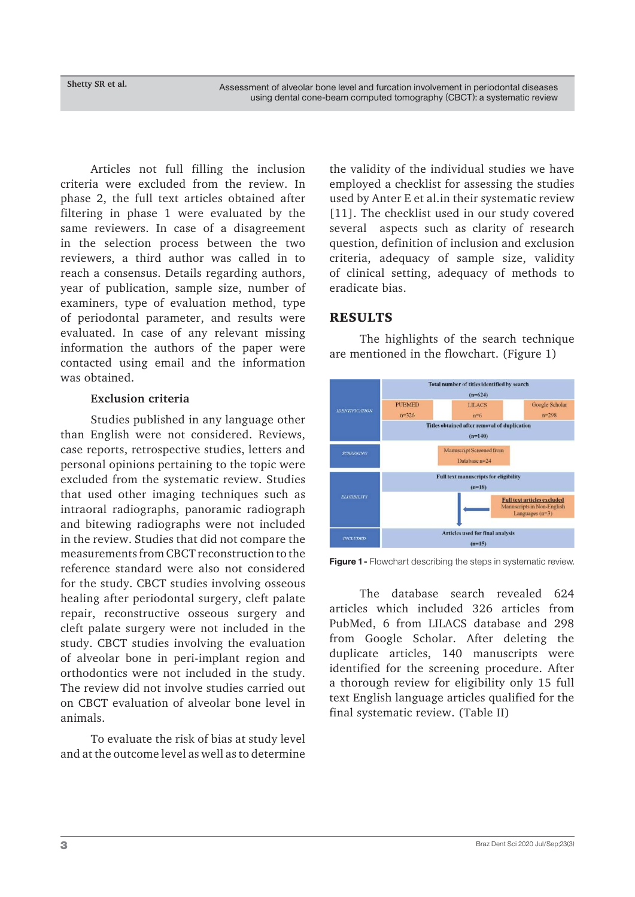Articles not full filling the inclusion criteria were excluded from the review. In phase 2, the full text articles obtained after filtering in phase 1 were evaluated by the same reviewers. In case of a disagreement in the selection process between the two reviewers, a third author was called in to reach a consensus. Details regarding authors, year of publication, sample size, number of examiners, type of evaluation method, type of periodontal parameter, and results were evaluated. In case of any relevant missing information the authors of the paper were contacted using email and the information was obtained.

#### **Exclusion criteria**

Studies published in any language other than English were not considered. Reviews, case reports, retrospective studies, letters and personal opinions pertaining to the topic were excluded from the systematic review. Studies that used other imaging techniques such as intraoral radiographs, panoramic radiograph and bitewing radiographs were not included in the review. Studies that did not compare the measurements from CBCT reconstruction to the reference standard were also not considered for the study. CBCT studies involving osseous healing after periodontal surgery, cleft palate repair, reconstructive osseous surgery and cleft palate surgery were not included in the study. CBCT studies involving the evaluation of alveolar bone in peri-implant region and orthodontics were not included in the study. The review did not involve studies carried out on CBCT evaluation of alveolar bone level in animals.

To evaluate the risk of bias at study level and at the outcome level as well as to determine the validity of the individual studies we have employed a checklist for assessing the studies used by Anter E et al.in their systematic review [11]. The checklist used in our study covered several aspects such as clarity of research question, definition of inclusion and exclusion criteria, adequacy of sample size, validity of clinical setting, adequacy of methods to eradicate bias.

# RESULTS

The highlights of the search technique are mentioned in the flowchart. (Figure 1)



**Figure 1 -** Flowchart describing the steps in systematic review.

The database search revealed 624 articles which included 326 articles from PubMed, 6 from LILACS database and 298 from Google Scholar. After deleting the duplicate articles, 140 manuscripts were identified for the screening procedure. After a thorough review for eligibility only 15 full text English language articles qualified for the final systematic review. (Table II)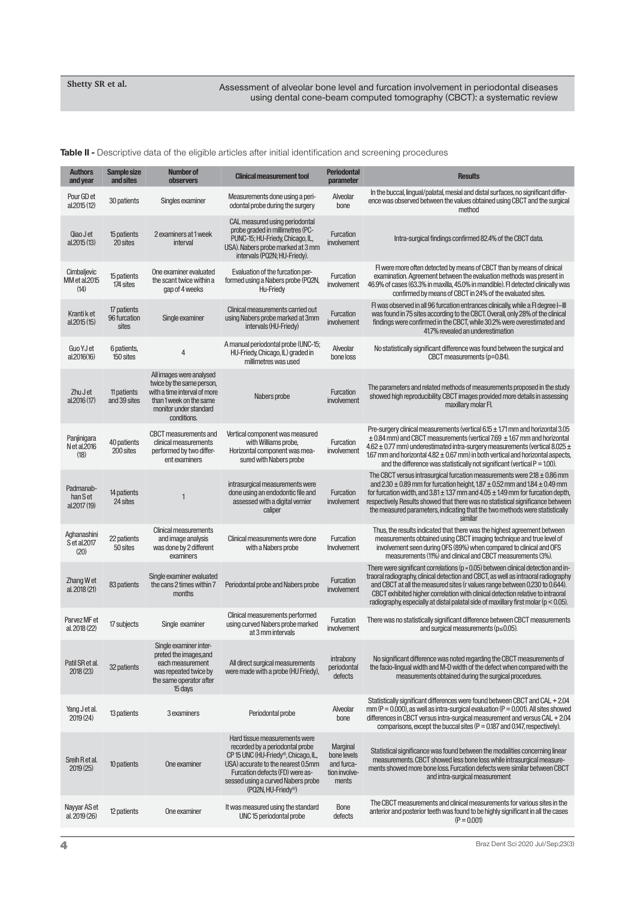**Table II -** Descriptive data of the eligible articles after initial identification and screening procedures

| <b>Authors</b><br>and year           | Sample size<br>and sites             | <b>Number of</b><br><b>observers</b>                                                                                                                      | <b>Clinical measurement tool</b>                                                                                                                                                                                                             | <b>Periodontal</b><br>parameter                                 | <b>Results</b>                                                                                                                                                                                                                                                                                                                                                                                                                                |
|--------------------------------------|--------------------------------------|-----------------------------------------------------------------------------------------------------------------------------------------------------------|----------------------------------------------------------------------------------------------------------------------------------------------------------------------------------------------------------------------------------------------|-----------------------------------------------------------------|-----------------------------------------------------------------------------------------------------------------------------------------------------------------------------------------------------------------------------------------------------------------------------------------------------------------------------------------------------------------------------------------------------------------------------------------------|
| Pour GD et<br>al.2015 (12)           | 30 patients                          | Singles examiner                                                                                                                                          | Measurements done using a peri-<br>odontal probe during the surgery                                                                                                                                                                          | Alveolar<br>bone                                                | In the buccal, lingual/palatal, mesial and distal surfaces, no significant differ-<br>ence was observed between the values obtained using CBCT and the surgical<br>method                                                                                                                                                                                                                                                                     |
| Qiao J et<br>al.2015 (13)            | 15 patients<br>20 sites              | 2 examiners at 1 week<br>interval                                                                                                                         | CAL measured using periodontal<br>probe graded in millimetres (PC-<br>PUNC-15; HU-Friedy, Chicago, IL,<br>USA). Nabers probe marked at 3 mm<br>intervals (PQ2N; HU-Friedy).                                                                  | Furcation<br>involvement                                        | Intra-surgical findings confirmed 82.4% of the CBCT data.                                                                                                                                                                                                                                                                                                                                                                                     |
| Cimbaljevic<br>MM et al.2015<br>(14) | 15 patients<br>174 sites             | One examiner evaluated<br>the scant twice within a<br>gap of 4 weeks                                                                                      | Evaluation of the furcation per-<br>formed using a Nabers probe (PQ2N,<br>Hu-Friedy                                                                                                                                                          | Furcation<br>involvement                                        | FI were more often detected by means of CBCT than by means of clinical<br>examination. Agreement between the evaluation methods was present in<br>46.9% of cases (63.3% in maxilla, 45.0% in mandible). FI detected clinically was<br>confirmed by means of CBCT in 24% of the evaluated sites.                                                                                                                                               |
| Kranti k et<br>al.2015 (15)          | 17 patients<br>96 furcation<br>sites | Single examiner                                                                                                                                           | Clinical measurements carried out<br>using Nabers probe marked at 3mm<br>intervals (HU-Friedy)                                                                                                                                               | Furcation<br>involvement                                        | FI was observed in all 96 furcation entrances clinically, while a FI degree I-III<br>was found in 75 sites according to the CBCT. Overall, only 28% of the clinical<br>findings were confirmed in the CBCT, while 30.2% were overestimated and<br>41.7% revealed an underestimation                                                                                                                                                           |
| Guo YJ et<br>al.2016(16)             | 6 patients,<br>150 sites             | 4                                                                                                                                                         | A manual periodontal probe (UNC-15;<br>HU-Friedy, Chicago, IL) graded in<br>millimetres was used                                                                                                                                             | Alveolar<br>bone loss                                           | No statistically significant difference was found between the surgical and<br>CBCT measurements (p=0.84).                                                                                                                                                                                                                                                                                                                                     |
| Zhu J et<br>al.2016 (17)             | 11 patients<br>and 39 sites          | All images were analysed<br>twice by the same person,<br>with a time interval of more<br>than 1 week on the same<br>monitor under standard<br>conditions. | Nabers probe                                                                                                                                                                                                                                 | Furcation<br>involvement                                        | The parameters and related methods of measurements proposed in the study<br>showed high reproducibility. CBCT images provided more details in assessing<br>maxillary molar Fl.                                                                                                                                                                                                                                                                |
| Panjinigara<br>N et al.2016<br>(18)  | 40 patients<br>200 sites             | <b>CBCT</b> measurements and<br>clinical measurements<br>performed by two differ-<br>ent examiners                                                        | Vertical component was measured<br>with Williams probe,<br>Horizontal component was mea-<br>sured with Nabers probe                                                                                                                          | Furcation<br>involvement                                        | Pre-surgery clinical measurements (vertical 6.15 ± 1.71 mm and horizontal 3.05<br>$\pm$ 0.84 mm) and CBCT measurements (vertical 7.69 $\pm$ 1.67 mm and horizontal<br>$4.62 \pm 0.77$ mm) underestimated intra-surgery measurements (vertical 8.025 $\pm$<br>1.67 mm and horizontal $4.82 \pm 0.67$ mm) in both vertical and horizontal aspects,<br>and the difference was statistically not significant (vertical $P = 1.00$ ).              |
| Padmanab-<br>han Set<br>al.2017 (19) | 14 patients<br>24 sites              | $\mathbf{1}$                                                                                                                                              | intrasurgical measurements were<br>done using an endodontic file and<br>assessed with a digital vernier<br>caliper                                                                                                                           | Furcation<br>involvement                                        | The CBCT versus intrasurgical furcation measurements were $2.18 \pm 0.86$ mm<br>and $2.30 \pm 0.89$ mm for furcation height, $187 \pm 0.52$ mm and $1.84 \pm 0.49$ mm<br>for furcation width, and $3.81 \pm 1.37$ mm and $4.05 \pm 1.49$ mm for furcation depth,<br>respectively. Results showed that there was no statistical significance between<br>the measured parameters, indicating that the two methods were statistically<br>similar |
| Aghanashini<br>S et al.2017<br>(20)  | 22 patients<br>50 sites              | <b>Clinical measurements</b><br>and image analysis<br>was done by 2 different<br>examiners                                                                | Clinical measurements were done<br>with a Nabers probe                                                                                                                                                                                       | Furcation<br>Involvement                                        | Thus, the results indicated that there was the highest agreement between<br>measurements obtained using CBCT imaging technique and true level of<br>involvement seen during OFS (89%) when compared to clinical and OFS<br>measurements (11%) and clinical and CBCT measurements (3%).                                                                                                                                                        |
| Zhang Wet<br>al. 2018 (21)           | 83 patients                          | Single examiner evaluated<br>the cans 2 times within 7<br>months                                                                                          | Periodontal probe and Nabers probe                                                                                                                                                                                                           | Furcation<br>involvement                                        | There were significant correlations (p « 0.05) between clinical detection and in-<br>traoral radiography, clinical detection and CBCT, as well as intraoral radiography<br>and CBCT at all the measured sites (r values range between 0.230 to 0.644).<br>CBCT exhibited higher correlation with clinical detection relative to intraoral<br>radiography, especially at distal palatal side of maxillary first molar ( $p < 0.05$ ).          |
| Parvez MF et<br>al. 2018 (22)        | 17 subjects                          | Single examiner                                                                                                                                           | Clinical measurements performed<br>using curved Nabers probe marked<br>at 3 mm intervals                                                                                                                                                     | Furcation<br>involvement                                        | There was no statistically significant difference between CBCT measurements<br>and surgical measurements ( $p \le 0.05$ ).                                                                                                                                                                                                                                                                                                                    |
| Patil SR et al.<br>2018(23)          | 32 patients                          | Single examiner inter-<br>preted the images, and<br>each measurement<br>was repeated twice by<br>the same operator after<br>15 days                       | All direct surgical measurements<br>were made with a probe (HU Friedy),                                                                                                                                                                      | intrabony<br>periodontal<br>defects                             | No significant difference was noted regarding the CBCT measurements of<br>the facio-lingual width and M-D width of the defect when compared with the<br>measurements obtained during the surgical procedures.                                                                                                                                                                                                                                 |
| Yang J et al.<br>2019(24)            | 13 patients                          | 3 examiners                                                                                                                                               | Periodontal probe                                                                                                                                                                                                                            | Alveolar<br>bone                                                | Statistically significant differences were found between CBCT and CAL + 2.04<br>mm ( $P = 0.000$ ), as well as intra-surgical evaluation ( $P = 0.001$ ). All sites showed<br>differences in CBCT versus intra-surgical measurement and versus CAL + 2.04<br>comparisons, except the buccal sites ( $P = 0.187$ and 0.147, respectively).                                                                                                     |
| Sreih R et al.<br>2019(25)           | 10 patients                          | One examiner                                                                                                                                              | Hard tissue measurements were<br>recorded by a periodontal probe<br>CP 15 UNC (HU-Friedy®, Chicago, IL,<br>USA) accurate to the nearest 0.5mm<br>Furcation defects (FD) were as-<br>sessed using a curved Nabers probe<br>(PQ2N, HU-Friedy®) | Marginal<br>bone levels<br>and furca-<br>tion involve-<br>ments | Statistical significance was found between the modalities concerning linear<br>measurements. CBCT showed less bone loss while intrasurgical measure-<br>ments showed more bone loss. Furcation defects were similar between CBCT<br>and intra-surgical measurement                                                                                                                                                                            |
| Nayyar AS et<br>al. 2019 (26)        | 12 patients                          | One examiner                                                                                                                                              | It was measured using the standard<br>UNC 15 periodontal probe                                                                                                                                                                               | Bone<br>defects                                                 | The CBCT measurements and clinical measurements for various sites in the<br>anterior and posterior teeth was found to be highly significant in all the cases<br>$(P = 0.001)$                                                                                                                                                                                                                                                                 |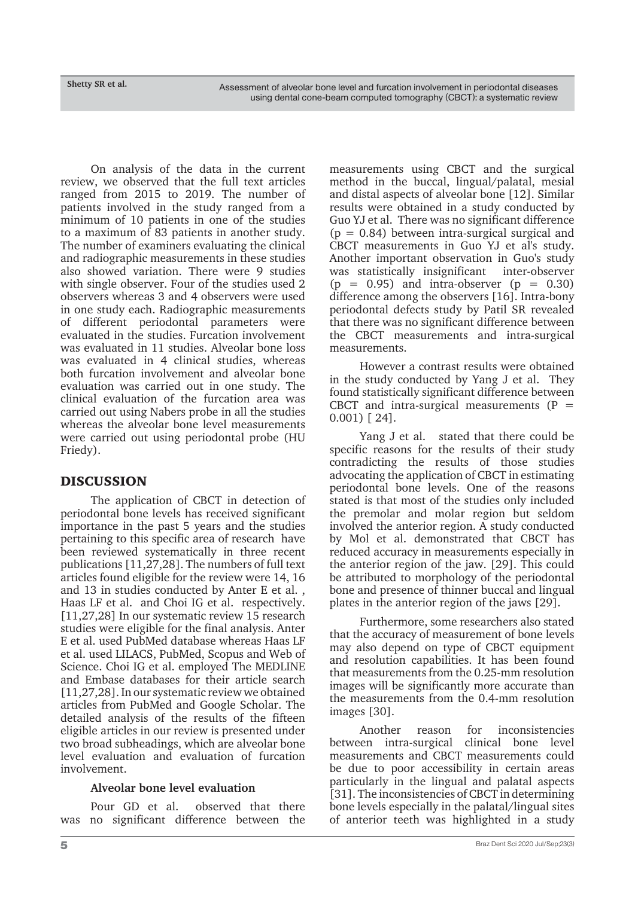On analysis of the data in the current review, we observed that the full text articles ranged from 2015 to 2019. The number of patients involved in the study ranged from a minimum of 10 patients in one of the studies to a maximum of 83 patients in another study. The number of examiners evaluating the clinical and radiographic measurements in these studies also showed variation. There were 9 studies with single observer. Four of the studies used 2 observers whereas 3 and 4 observers were used in one study each. Radiographic measurements of different periodontal parameters were evaluated in the studies. Furcation involvement was evaluated in 11 studies. Alveolar bone loss was evaluated in 4 clinical studies, whereas both furcation involvement and alveolar bone evaluation was carried out in one study. The clinical evaluation of the furcation area was carried out using Nabers probe in all the studies whereas the alveolar bone level measurements were carried out using periodontal probe (HU Friedy).

# DISCUSSION

The application of CBCT in detection of periodontal bone levels has received significant importance in the past 5 years and the studies pertaining to this specific area of research have been reviewed systematically in three recent publications [11,27,28]. The numbers of full text articles found eligible for the review were 14, 16 and 13 in studies conducted by Anter E et al. , Haas LF et al. and Choi IG et al. respectively. [11,27,28] In our systematic review 15 research studies were eligible for the final analysis. Anter E et al. used PubMed database whereas Haas LF et al. used LILACS, PubMed, Scopus and Web of Science. Choi IG et al. employed The MEDLINE and Embase databases for their article search [11,27,28]. In our systematic review we obtained articles from PubMed and Google Scholar. The detailed analysis of the results of the fifteen eligible articles in our review is presented under two broad subheadings, which are alveolar bone level evaluation and evaluation of furcation involvement.

### **Alveolar bone level evaluation**

Pour GD et al. observed that there was no significant difference between the

measurements using CBCT and the surgical method in the buccal, lingual/palatal, mesial and distal aspects of alveolar bone [12]. Similar results were obtained in a study conducted by Guo YJ et al. There was no significant difference  $(p = 0.84)$  between intra-surgical surgical and CBCT measurements in Guo YJ et al's study. Another important observation in Guo's study was statistically insignificant inter-observer  $(p = 0.95)$  and intra-observer  $(p = 0.30)$ difference among the observers [16]. Intra-bony periodontal defects study by Patil SR revealed that there was no significant difference between the CBCT measurements and intra-surgical measurements.

However a contrast results were obtained in the study conducted by Yang J et al. They found statistically significant difference between CBCT and intra-surgical measurements  $(P =$ 0.001) [ 24].

Yang J et al. stated that there could be specific reasons for the results of their study contradicting the results of those studies advocating the application of CBCT in estimating periodontal bone levels. One of the reasons stated is that most of the studies only included the premolar and molar region but seldom involved the anterior region. A study conducted by Mol et al. demonstrated that CBCT has reduced accuracy in measurements especially in the anterior region of the jaw. [29]. This could be attributed to morphology of the periodontal bone and presence of thinner buccal and lingual plates in the anterior region of the jaws [29].

Furthermore, some researchers also stated that the accuracy of measurement of bone levels may also depend on type of CBCT equipment and resolution capabilities. It has been found that measurements from the 0.25-mm resolution images will be significantly more accurate than the measurements from the 0.4-mm resolution images [30].

Another reason for inconsistencies between intra-surgical clinical bone level measurements and CBCT measurements could be due to poor accessibility in certain areas particularly in the lingual and palatal aspects [31]. The inconsistencies of CBCT in determining bone levels especially in the palatal/lingual sites of anterior teeth was highlighted in a study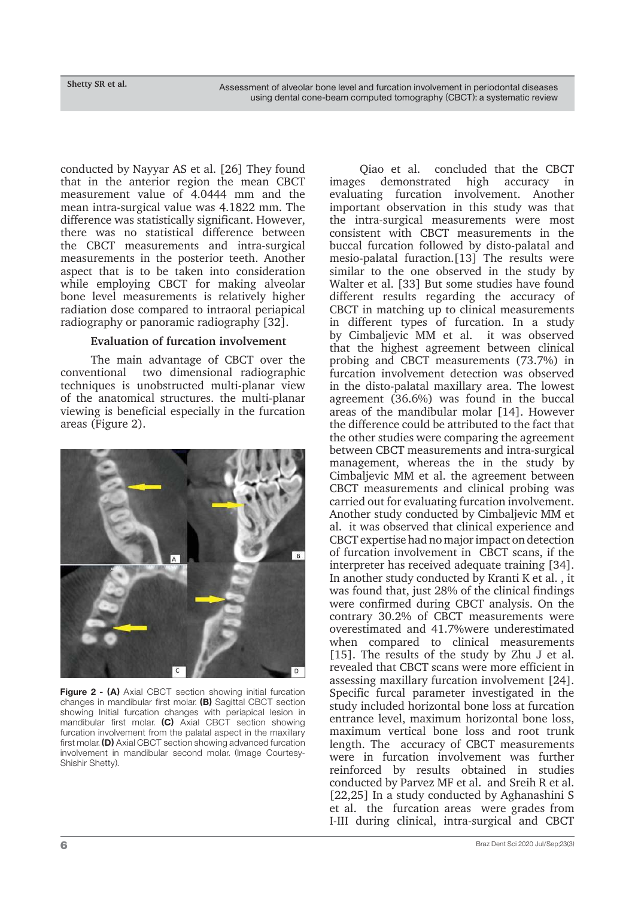**Shetty SR et al.**

conducted by Nayyar AS et al. [26] They found that in the anterior region the mean CBCT measurement value of 4.0444 mm and the mean intra-surgical value was 4.1822 mm. The difference was statistically significant. However, there was no statistical difference between the CBCT measurements and intra-surgical measurements in the posterior teeth. Another aspect that is to be taken into consideration while employing CBCT for making alveolar bone level measurements is relatively higher radiation dose compared to intraoral periapical radiography or panoramic radiography [32].

### **Evaluation of furcation involvement**

The main advantage of CBCT over the conventional two dimensional radiographic techniques is unobstructed multi-planar view of the anatomical structures. the multi-planar viewing is beneficial especially in the furcation areas (Figure 2).



**Figure 2 - (A)** Axial CBCT section showing initial furcation changes in mandibular first molar. **(B)** Sagittal CBCT section showing Initial furcation changes with periapical lesion in mandibular first molar. **(C)** Axial CBCT section showing furcation involvement from the palatal aspect in the maxillary first molar. **(D)** Axial CBCT section showing advanced furcation involvement in mandibular second molar. (Image Courtesy-Shishir Shetty).

Qiao et al. concluded that the CBCT images demonstrated high accuracy in evaluating furcation involvement. Another important observation in this study was that the intra-surgical measurements were most consistent with CBCT measurements in the buccal furcation followed by disto-palatal and mesio-palatal furaction.[13] The results were similar to the one observed in the study by Walter et al. [33] But some studies have found different results regarding the accuracy of CBCT in matching up to clinical measurements in different types of furcation. In a study by Cimbaljevic MM et al. it was observed that the highest agreement between clinical probing and CBCT measurements (73.7%) in furcation involvement detection was observed in the disto-palatal maxillary area. The lowest agreement (36.6%) was found in the buccal areas of the mandibular molar [14]. However the difference could be attributed to the fact that the other studies were comparing the agreement between CBCT measurements and intra-surgical management, whereas the in the study by Cimbaljevic MM et al. the agreement between CBCT measurements and clinical probing was carried out for evaluating furcation involvement. Another study conducted by Cimbaljevic MM et al. it was observed that clinical experience and CBCT expertise had no major impact on detection of furcation involvement in CBCT scans, if the interpreter has received adequate training [34]. In another study conducted by Kranti K et al. , it was found that, just 28% of the clinical findings were confirmed during CBCT analysis. On the contrary 30.2% of CBCT measurements were overestimated and 41.7%were underestimated when compared to clinical measurements [15]. The results of the study by Zhu J et al. revealed that CBCT scans were more efficient in assessing maxillary furcation involvement [24]. Specific furcal parameter investigated in the study included horizontal bone loss at furcation entrance level, maximum horizontal bone loss, maximum vertical bone loss and root trunk length. The accuracy of CBCT measurements were in furcation involvement was further reinforced by results obtained in studies conducted by Parvez MF et al. and Sreih R et al. [22,25] In a study conducted by Aghanashini S et al. the furcation areas were grades from I-III during clinical, intra-surgical and CBCT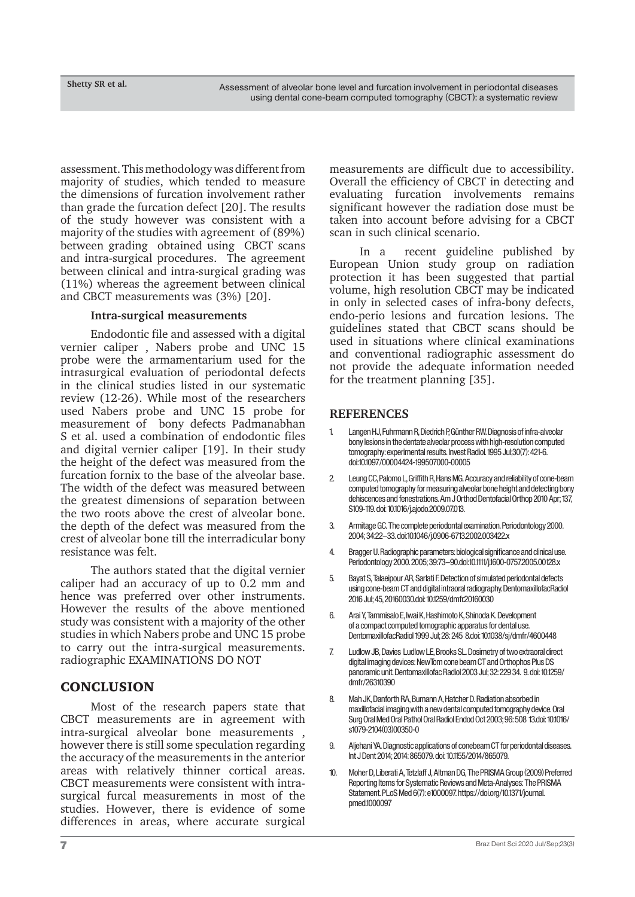assessment. This methodology was different from majority of studies, which tended to measure the dimensions of furcation involvement rather than grade the furcation defect [20]. The results of the study however was consistent with a majority of the studies with agreement of (89%) between grading obtained using CBCT scans and intra-surgical procedures. The agreement between clinical and intra-surgical grading was (11%) whereas the agreement between clinical and CBCT measurements was (3%) [20].

#### **Intra-surgical measurements**

Endodontic file and assessed with a digital vernier caliper , Nabers probe and UNC 15 probe were the armamentarium used for the intrasurgical evaluation of periodontal defects in the clinical studies listed in our systematic review (12-26). While most of the researchers used Nabers probe and UNC 15 probe for measurement of bony defects Padmanabhan S et al. used a combination of endodontic files and digital vernier caliper [19]. In their study the height of the defect was measured from the furcation fornix to the base of the alveolar base. The width of the defect was measured between the greatest dimensions of separation between the two roots above the crest of alveolar bone. the depth of the defect was measured from the crest of alveolar bone till the interradicular bony resistance was felt.

The authors stated that the digital vernier caliper had an accuracy of up to 0.2 mm and hence was preferred over other instruments. However the results of the above mentioned study was consistent with a majority of the other studies in which Nabers probe and UNC 15 probe to carry out the intra-surgical measurements. radiographic EXAMINATIONS DO NOT

### **CONCLUSION**

Most of the research papers state that CBCT measurements are in agreement with intra-surgical alveolar bone measurements , however there is still some speculation regarding the accuracy of the measurements in the anterior areas with relatively thinner cortical areas. CBCT measurements were consistent with intrasurgical furcal measurements in most of the studies. However, there is evidence of some differences in areas, where accurate surgical

measurements are difficult due to accessibility. Overall the efficiency of CBCT in detecting and evaluating furcation involvements remains significant however the radiation dose must be taken into account before advising for a CBCT scan in such clinical scenario.

In a recent guideline published by European Union study group on radiation protection it has been suggested that partial volume, high resolution CBCT may be indicated in only in selected cases of infra-bony defects, endo-perio lesions and furcation lesions. The guidelines stated that CBCT scans should be used in situations where clinical examinations and conventional radiographic assessment do not provide the adequate information needed for the treatment planning [35].

#### **REFERENCES**

- 1. Langen HJ, Fuhrmann R, Diedrich P, Günther RW. Diagnosis of infra-alveolar bony lesions in the dentate alveolar process with high-resolution computed tomography: experimental results. Invest Radiol. 1995 Jul;30(7): 421-6. doi:10.1097/00004424-199507000-00005
- 2. Leung CC, Palomo L, Griffith R, Hans MG. Accuracy and reliability of cone-beam computed tomography for measuring alveolar bone height and detecting bony dehiscences and fenestrations. Am J Orthod Dentofacial Orthop 2010 Apr; 137, S109-119. doi: 10.1016/j.ajodo.2009.07.013.
- 3. Armitage GC. The complete periodontal examination. Periodontology 2000. 2004; 34:22–33. doi:10.1046/j.0906-6713.2002.003422.x
- 4. Bragger U. Radiographic parameters: biological significance and clinical use. Periodontology 2000. 2005; 39:73–90.doi:10.1111/j.1600-0757.2005.00128.x
- 5. Bayat S, Talaeipour AR, Sarlati F. Detection of simulated periodontal defects using cone-beam CT and digital intraoral radiography. DentomaxillofacRadiol 2016 Jul; 45, 20160030.doi: 10.1259/dmfr.20160030
- 6. Arai Y, Tammisalo E, Iwai K, Hashimoto K, Shinoda K. Development of a compact computed tomographic apparatus for dental use. DentomaxillofacRadiol 1999 Jul; 28: 245 8.doi: 10.1038/sj/dmfr/4600448
- 7. Ludlow JB, Davies Ludlow LE, Brooks SL. Dosimetry of two extraoral direct digital imaging devices: NewTom cone beam CT and Orthophos Plus DS panoramic unit. Dentomaxillofac Radiol 2003 Jul; 32: 229 34. 9. doi: 10.1259/ dmfr/26310390
- Mah JK, Danforth RA, Bumann A, Hatcher D. Radiation absorbed in maxillofacial imaging with a new dental computed tomography device. Oral Surg Oral Med Oral Pathol Oral Radiol Endod Oct 2003; 96: 508 13.doi: 10.1016/ s1079-2104(03)00350-0
- 9. Aljehani YA. Diagnostic applications of conebeam CT for periodontal diseases. Int J Dent 2014; 2014: 865079. doi: 10.1155/2014/865079.
- 10. Moher D, Liberati A, Tetzlaff J, Altman DG, The PRISMA Group (2009) Preferred Reporting Items for Systematic Reviews and Meta-Analyses: The PRISMA Statement. PLoS Med 6(7): e1000097. https://doi.org/10.1371/journal. pmed.1000097